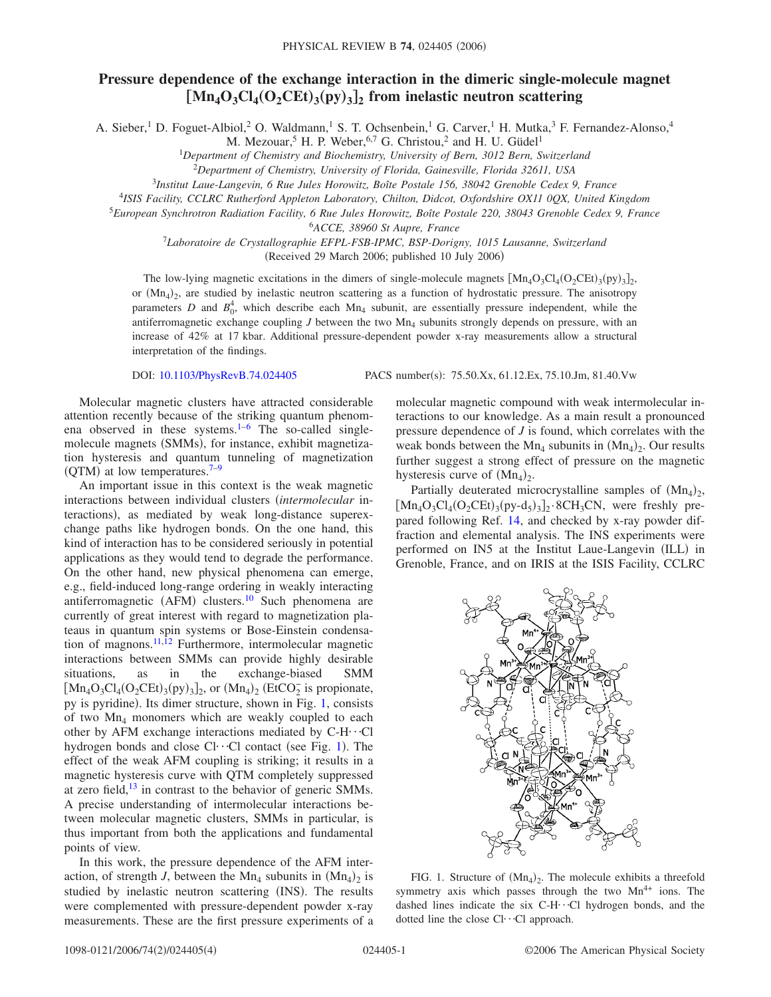## **Pressure dependence of the exchange interaction in the dimeric single-molecule magnet**  $[Mn_4O_3Cl_4(O_2CEt)_3(pp)_3]_2$  from inelastic neutron scattering

A. Sieber,<sup>1</sup> D. Foguet-Albiol,<sup>2</sup> O. Waldmann,<sup>1</sup> S. T. Ochsenbein,<sup>1</sup> G. Carver,<sup>1</sup> H. Mutka,<sup>3</sup> F. Fernandez-Alonso,<sup>4</sup>

M. Mezouar,<sup>5</sup> H. P. Weber,<sup>6,7</sup> G. Christou,<sup>2</sup> and H. U. Güdel<sup>1</sup>

1 *Department of Chemistry and Biochemistry, University of Bern, 3012 Bern, Switzerland*

<sup>2</sup>*Department of Chemistry, University of Florida, Gainesville, Florida 32611, USA*

<sup>3</sup>*Institut Laue-Langevin, 6 Rue Jules Horowitz, Boîte Postale 156, 38042 Grenoble Cedex 9, France*

<sup>4</sup>*ISIS Facility, CCLRC Rutherford Appleton Laboratory, Chilton, Didcot, Oxfordshire OX11 0QX, United Kingdom*

<sup>5</sup>*European Synchrotron Radiation Facility, 6 Rue Jules Horowitz, Boîte Postale 220, 38043 Grenoble Cedex 9, France*

6 *ACCE, 38960 St Aupre, France*

<sup>7</sup>*Laboratoire de Crystallographie EFPL-FSB-IPMC, BSP-Dorigny, 1015 Lausanne, Switzerland* (Received 29 March 2006; published 10 July 2006)

The low-lying magnetic excitations in the dimers of single-molecule magnets  $[Mn_4O_3Cl_4(O_2CEt)_3(py)_3]_2$ , or  $(Mn<sub>4</sub>)<sub>2</sub>$ , are studied by inelastic neutron scattering as a function of hydrostatic pressure. The anisotropy parameters *D* and  $B_0^4$ , which describe each  $Mn_4$  subunit, are essentially pressure independent, while the antiferromagnetic exchange coupling  $J$  between the two  $Mn<sub>4</sub>$  subunits strongly depends on pressure, with an increase of 42% at 17 kbar. Additional pressure-dependent powder x-ray measurements allow a structural interpretation of the findings.

DOI: [10.1103/PhysRevB.74.024405](http://dx.doi.org/10.1103/PhysRevB.74.024405)

Molecular magnetic clusters have attracted considerable attention recently because of the striking quantum phenomena observed in these systems. $1-6$  $1-6$  The so-called singlemolecule magnets (SMMs), for instance, exhibit magnetization hysteresis and quantum tunneling of magnetization  $(QTM)$  at low temperatures.<sup>7–[9](#page-3-3)</sup>

An important issue in this context is the weak magnetic interactions between individual clusters *intermolecular* interactions), as mediated by weak long-distance superexchange paths like hydrogen bonds. On the one hand, this kind of interaction has to be considered seriously in potential applications as they would tend to degrade the performance. On the other hand, new physical phenomena can emerge, e.g., field-induced long-range ordering in weakly interacting antiferromagnetic (AFM) clusters.<sup>10</sup> Such phenomena are currently of great interest with regard to magnetization plateaus in quantum spin systems or Bose-Einstein condensa-tion of magnons.<sup>11[,12](#page-3-6)</sup> Furthermore, intermolecular magnetic interactions between SMMs can provide highly desirable situations, as in the exchange-biased SMM  $\left[\text{Mn}_4\text{O}_3\text{Cl}_4(\text{O}_2\text{CEt})_3\text{(py)}_3\right]_2$ , or  $\left(\text{Mn}_4\right)_2$  (EtCO<sub>2</sub> is propionate, py is pyridine). Its dimer structure, shown in Fig. [1,](#page-0-0) consists of two Mn4 monomers which are weakly coupled to each other by AFM exchange interactions mediated by C-H $\cdots$ Cl hydrogen bonds and close  $Cl \cdot \cdot Cl$  contact (see Fig. [1](#page-0-0)). The effect of the weak AFM coupling is striking; it results in a magnetic hysteresis curve with QTM completely suppressed at zero field, $13$  in contrast to the behavior of generic SMMs. A precise understanding of intermolecular interactions between molecular magnetic clusters, SMMs in particular, is thus important from both the applications and fundamental points of view.

In this work, the pressure dependence of the AFM interaction, of strength *J*, between the Mn<sub>4</sub> subunits in  $(Mn_4)_2$  is studied by inelastic neutron scattering (INS). The results were complemented with pressure-dependent powder x-ray measurements. These are the first pressure experiments of a

PACS number(s): 75.50.Xx, 61.12.Ex, 75.10.Jm, 81.40.Vw

molecular magnetic compound with weak intermolecular interactions to our knowledge. As a main result a pronounced pressure dependence of *J* is found, which correlates with the weak bonds between the  $Mn_4$  subunits in  $(Mn_4)_2$ . Our results further suggest a strong effect of pressure on the magnetic hysteresis curve of  $(Mn_4)_2$ .

Partially deuterated microcrystalline samples of  $(Mn<sub>4</sub>)<sub>2</sub>$ ,  $\left[\text{Mn}_4\text{O}_3\text{Cl}_4(\text{O}_2\text{CEt})_3\text{(py-d}_5)\text{3}\right]_2$ . 8CH<sub>3</sub>CN, were freshly prepared following Ref. [14,](#page-3-8) and checked by x-ray powder diffraction and elemental analysis. The INS experiments were performed on IN5 at the Institut Laue-Langevin (ILL) in Grenoble, France, and on IRIS at the ISIS Facility, CCLRC

<span id="page-0-0"></span>

FIG. 1. Structure of  $(Mn_4)_2$ . The molecule exhibits a threefold symmetry axis which passes through the two  $Mn^{4+}$  ions. The dashed lines indicate the six C-H $\cdot$ ··Cl hydrogen bonds, and the dotted line the close  $Cl··Cl$  approach.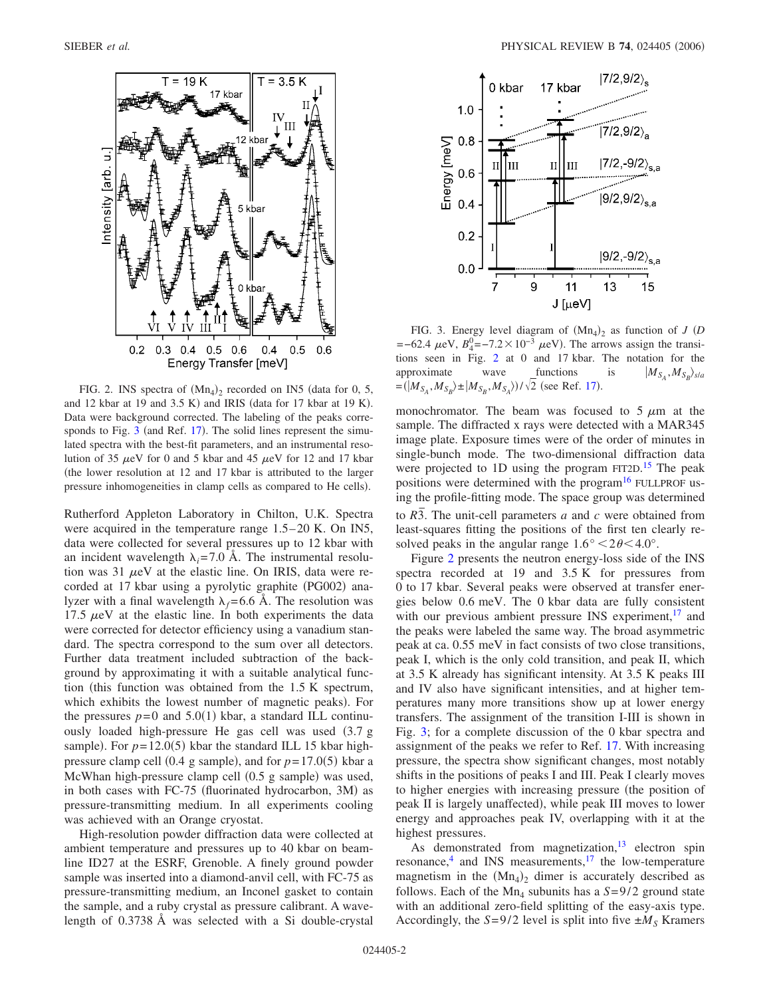<span id="page-1-0"></span>

FIG. 2. INS spectra of  $(Mn_4)_2$  recorded on IN5 (data for 0, 5, and 12 kbar at 19 and  $3.5$  K) and IRIS (data for 17 kbar at 19 K). Data were background corrected. The labeling of the peaks corre-sponds to Fig. [3](#page-1-1) (and Ref. [17](#page-3-11)). The solid lines represent the simulated spectra with the best-fit parameters, and an instrumental resolution of 35  $\mu$ eV for 0 and 5 kbar and 45  $\mu$ eV for 12 and 17 kbar the lower resolution at 12 and 17 kbar is attributed to the larger pressure inhomogeneities in clamp cells as compared to He cells).

Rutherford Appleton Laboratory in Chilton, U.K. Spectra were acquired in the temperature range 1.5–20 K. On IN5, data were collected for several pressures up to 12 kbar with an incident wavelength  $\lambda_i = 7.0$  Å. The instrumental resolution was 31  $\mu$ eV at the elastic line. On IRIS, data were recorded at 17 kbar using a pyrolytic graphite (PG002) analyzer with a final wavelength  $\lambda_f = 6.6$  Å. The resolution was 17.5  $\mu$ eV at the elastic line. In both experiments the data were corrected for detector efficiency using a vanadium standard. The spectra correspond to the sum over all detectors. Further data treatment included subtraction of the background by approximating it with a suitable analytical function (this function was obtained from the  $1.5 K$  spectrum, which exhibits the lowest number of magnetic peaks). For the pressures  $p=0$  and  $5.0(1)$  kbar, a standard ILL continuously loaded high-pressure He gas cell was used  $(3.7 g)$ sample). For  $p=12.0(5)$  kbar the standard ILL 15 kbar highpressure clamp cell  $(0.4 \text{ g sample})$ , and for  $p=17.0(5)$  kbar a McWhan high-pressure clamp cell (0.5 g sample) was used, in both cases with FC-75 (fluorinated hydrocarbon, 3M) as pressure-transmitting medium. In all experiments cooling was achieved with an Orange cryostat.

High-resolution powder diffraction data were collected at ambient temperature and pressures up to 40 kbar on beamline ID27 at the ESRF, Grenoble. A finely ground powder sample was inserted into a diamond-anvil cell, with FC-75 as pressure-transmitting medium, an Inconel gasket to contain the sample, and a ruby crystal as pressure calibrant. A wavelength of 0.3738 Å was selected with a Si double-crystal

<span id="page-1-1"></span>

FIG. 3. Energy level diagram of  $(Mn_4)_2$  as function of *J* (*D*  $=$ -62.4  $\mu$ eV,  $B_4^0$ =-7.2 × 10<sup>-3</sup>  $\mu$ eV). The arrows assign the transitions seen in Fig. [2](#page-1-0) at 0 and 17 kbar. The notation for the approximate wave functions is  $|M_{S_A},M_{S_B}\rangle_{s/a}$  $=(|M_{S_A}, M_{S_B}\rangle \pm |M_{S_B}, M_{S_A}\rangle)/\sqrt{2}$  (see Ref. [17](#page-3-11)).

monochromator. The beam was focused to  $5 \mu m$  at the sample. The diffracted x rays were detected with a MAR345 image plate. Exposure times were of the order of minutes in single-bunch mode. The two-dimensional diffraction data were projected to 1D using the program FIT2D.<sup>[15](#page-3-9)</sup> The peak positions were determined with the program<sup>16</sup> FULLPROF using the profile-fitting mode. The space group was determined to  $R\overline{3}$ . The unit-cell parameters *a* and *c* were obtained from least-squares fitting the positions of the first ten clearly resolved peaks in the angular range  $1.6^{\circ} < 2\theta < 4.0^{\circ}$ .

Figure [2](#page-1-0) presents the neutron energy-loss side of the INS spectra recorded at 19 and 3.5 K for pressures from 0 to 17 kbar. Several peaks were observed at transfer energies below 0.6 meV. The 0 kbar data are fully consistent with our previous ambient pressure INS experiment, $^{17}$  and the peaks were labeled the same way. The broad asymmetric peak at ca. 0.55 meV in fact consists of two close transitions, peak I, which is the only cold transition, and peak II, which at 3.5 K already has significant intensity. At 3.5 K peaks III and IV also have significant intensities, and at higher temperatures many more transitions show up at lower energy transfers. The assignment of the transition I-III is shown in Fig. [3;](#page-1-1) for a complete discussion of the 0 kbar spectra and assignment of the peaks we refer to Ref. [17.](#page-3-11) With increasing pressure, the spectra show significant changes, most notably shifts in the positions of peaks I and III. Peak I clearly moves to higher energies with increasing pressure (the position of peak II is largely unaffected), while peak III moves to lower energy and approaches peak IV, overlapping with it at the highest pressures.

As demonstrated from magnetization,  $13$  electron spin resonance, $4$  and INS measurements, $17$  the low-temperature magnetism in the  $(Mn<sub>4</sub>)<sub>2</sub>$  dimer is accurately described as follows. Each of the Mn<sub>4</sub> subunits has a  $S=9/2$  ground state with an additional zero-field splitting of the easy-axis type. Accordingly, the  $S=9/2$  level is split into five  $\pm M_S$  Kramers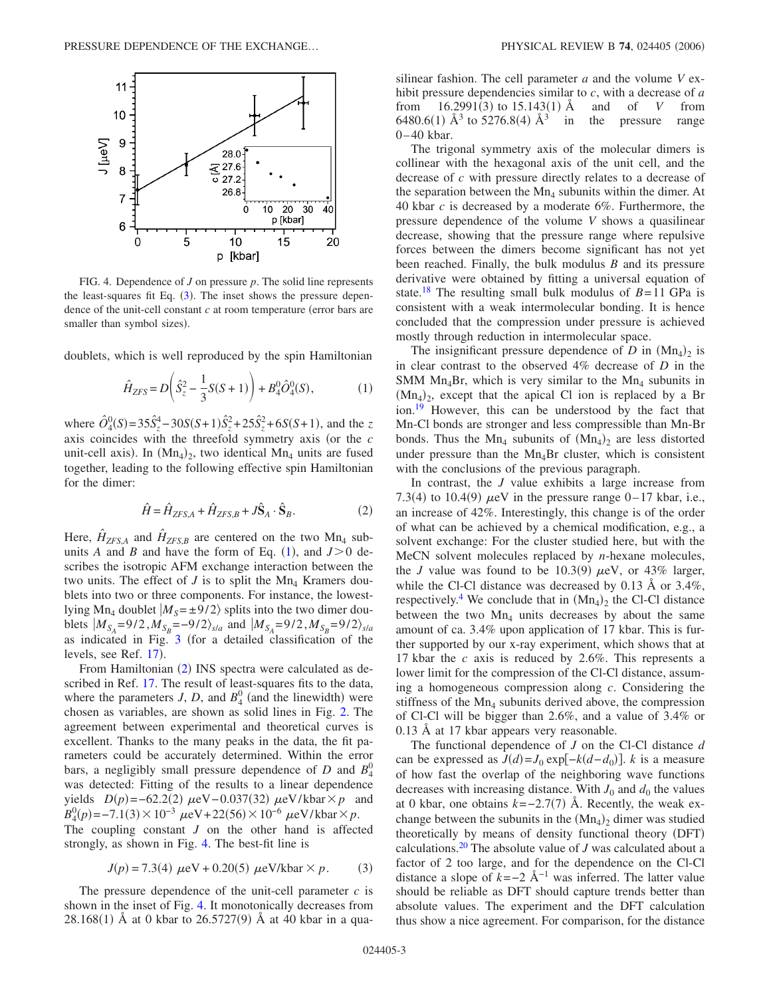<span id="page-2-2"></span>

FIG. 4. Dependence of *J* on pressure *p*. The solid line represents the least-squares fit Eq.  $(3)$  $(3)$  $(3)$ . The inset shows the pressure dependence of the unit-cell constant  $c$  at room temperature (error bars are smaller than symbol sizes).

<span id="page-2-0"></span>doublets, which is well reproduced by the spin Hamiltonian

$$
\hat{H}_{ZFS} = D\left(\hat{S}_z^2 - \frac{1}{3}S(S+1)\right) + B_4^0 \hat{O}_4^0(S),\tag{1}
$$

where  $\hat{O}_4^0(S) = 35\hat{S}_z^4 - 30S(S+1)\hat{S}_z^2 + 25\hat{S}_z^2 + 6S(S+1)$ , and the *z* axis coincides with the threefold symmetry axis (or the *c* unit-cell axis). In  $(Mn_4)_2$ , two identical  $Mn_4$  units are fused together, leading to the following effective spin Hamiltonian for the dimer:

$$
\hat{H} = \hat{H}_{ZFS,A} + \hat{H}_{ZFS,B} + J\hat{S}_A \cdot \hat{S}_B.
$$
\n(2)

<span id="page-2-1"></span>Here,  $\hat{H}_{ZFS,A}$  and  $\hat{H}_{ZFS,B}$  are centered on the two Mn<sub>4</sub> subunits *A* and *B* and have the form of Eq. ([1](#page-2-0)), and  $J>0$  describes the isotropic AFM exchange interaction between the two units. The effect of  $J$  is to split the Mn<sub>4</sub> Kramers doublets into two or three components. For instance, the lowestlying Mn<sub>4</sub> doublet  $|M_S = \pm 9/2\rangle$  splits into the two dimer doublets  $|M_{S_A} = 9/2, M_{S_B} = -9/2 \rangle_{s/a}$  and  $|M_{S_A} = 9/2, M_{S_B} = 9/2 \rangle_{s/a}$ as indicated in Fig. [3](#page-1-1) for a detailed classification of the levels, see Ref. [17](#page-3-11)).

From Hamiltonian ([2](#page-2-1)) INS spectra were calculated as described in Ref. [17.](#page-3-11) The result of least-squares fits to the data, where the parameters  $J$ ,  $D$ , and  $B_4^0$  (and the linewidth) were chosen as variables, are shown as solid lines in Fig. [2.](#page-1-0) The agreement between experimental and theoretical curves is excellent. Thanks to the many peaks in the data, the fit parameters could be accurately determined. Within the error bars, a negligibly small pressure dependence of *D* and  $B_4^0$ was detected: Fitting of the results to a linear dependence yields  $D(p) = -62.2(2) \mu\text{eV} - 0.037(32) \mu\text{eV/kbar} \times p$  and  $B_4^0(p)$ =–7.1(3) × 10<sup>-3</sup>  $\mu$ eV+22(56) × 10<sup>-6</sup>  $\mu$ eV/kbar×p.

The coupling constant *J* on the other hand is affected strongly, as shown in Fig. [4.](#page-2-2) The best-fit line is

$$
J(p) = 7.3(4) \mu eV + 0.20(5) \mu eV/kbar \times p.
$$
 (3)

<span id="page-2-3"></span>The pressure dependence of the unit-cell parameter *c* is shown in the inset of Fig. [4.](#page-2-2) It monotonically decreases from  $28.168(1)$  Å at 0 kbar to  $26.5727(9)$  Å at 40 kbar in a quasilinear fashion. The cell parameter *a* and the volume *V* exhibit pressure dependencies similar to *c*, with a decrease of *a* from  $16.2991(3)$  to  $15.143(1)$  Å and of *V* from 6480.6(1)  $\AA^3$  to 5276.8(4)  $\AA^3$  in the pressure range 0–40 kbar.

The trigonal symmetry axis of the molecular dimers is collinear with the hexagonal axis of the unit cell, and the decrease of *c* with pressure directly relates to a decrease of the separation between the  $Mn<sub>4</sub>$  subunits within the dimer. At 40 kbar *c* is decreased by a moderate 6%. Furthermore, the pressure dependence of the volume *V* shows a quasilinear decrease, showing that the pressure range where repulsive forces between the dimers become significant has not yet been reached. Finally, the bulk modulus *B* and its pressure derivative were obtained by fitting a universal equation of state.<sup>[18](#page-3-13)</sup> The resulting small bulk modulus of  $B=11$  GPa is consistent with a weak intermolecular bonding. It is hence concluded that the compression under pressure is achieved mostly through reduction in intermolecular space.

The insignificant pressure dependence of  $D$  in  $(Mn<sub>4</sub>)<sub>2</sub>$  is in clear contrast to the observed 4% decrease of *D* in the SMM Mn<sub>4</sub>Br, which is very similar to the Mn<sub>4</sub> subunits in  $(Mn_4)_2$ , except that the apical Cl ion is replaced by a Br ion.<sup>19</sup> However, this can be understood by the fact that Mn-Cl bonds are stronger and less compressible than Mn-Br bonds. Thus the  $Mn_4$  subunits of  $(Mn_4)_2$  are less distorted under pressure than the  $Mn<sub>4</sub>Br$  cluster, which is consistent with the conclusions of the previous paragraph.

In contrast, the *J* value exhibits a large increase from 7.3(4) to 10.4(9)  $\mu$ eV in the pressure range 0–17 kbar, i.e., an increase of 42%. Interestingly, this change is of the order of what can be achieved by a chemical modification, e.g., a solvent exchange: For the cluster studied here, but with the MeCN solvent molecules replaced by *n*-hexane molecules, the *J* value was found to be 10.3(9)  $\mu$ eV, or 43% larger, while the Cl-Cl distance was decreased by 0.13 Å or 3.4%, respectively.<sup>4</sup> We conclude that in  $(Mn_4)_2$  the Cl-Cl distance between the two  $Mn<sub>4</sub>$  units decreases by about the same amount of ca. 3.4% upon application of 17 kbar. This is further supported by our x-ray experiment, which shows that at 17 kbar the *c* axis is reduced by 2.6%. This represents a lower limit for the compression of the Cl-Cl distance, assuming a homogeneous compression along *c*. Considering the stiffness of the  $Mn<sub>4</sub>$  subunits derived above, the compression of Cl-Cl will be bigger than 2.6%, and a value of 3.4% or 0.13 Å at 17 kbar appears very reasonable.

The functional dependence of *J* on the Cl-Cl distance *d* can be expressed as  $J(d) = J_0 \exp[-k(d-d_0)]$ . *k* is a measure of how fast the overlap of the neighboring wave functions decreases with increasing distance. With  $J_0$  and  $d_0$  the values at 0 kbar, one obtains  $k = -2.7(7)$  Å. Recently, the weak exchange between the subunits in the  $(Mn<sub>4</sub>)<sub>2</sub>$  dimer was studied theoretically by means of density functional theory (DFT) calculations[.20](#page-3-15) The absolute value of *J* was calculated about a factor of 2 too large, and for the dependence on the Cl-Cl distance a slope of  $k=-2$  Å<sup>-1</sup> was inferred. The latter value should be reliable as DFT should capture trends better than absolute values. The experiment and the DFT calculation thus show a nice agreement. For comparison, for the distance